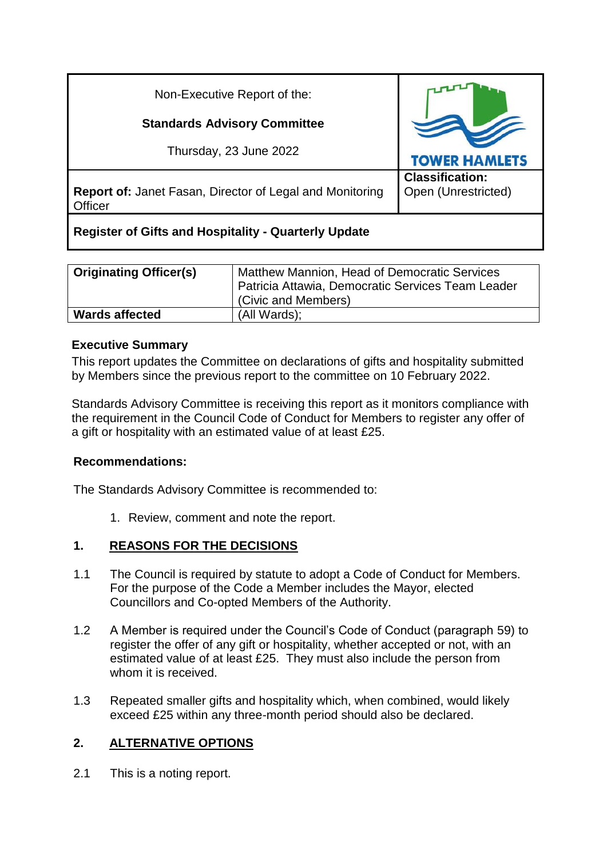| Non-Executive Report of the:                                               |                                               |
|----------------------------------------------------------------------------|-----------------------------------------------|
| <b>Standards Advisory Committee</b>                                        |                                               |
| Thursday, 23 June 2022                                                     | <b>TOWER HAMLETS</b>                          |
| <b>Report of: Janet Fasan, Director of Legal and Monitoring</b><br>Officer | <b>Classification:</b><br>Open (Unrestricted) |
| <b>Register of Gifts and Hospitality - Quarterly Update</b>                |                                               |

| <b>Originating Officer(s)</b> | Matthew Mannion, Head of Democratic Services<br>Patricia Attawia, Democratic Services Team Leader<br>(Civic and Members) |
|-------------------------------|--------------------------------------------------------------------------------------------------------------------------|
| <b>Wards affected</b>         | (All Wards);                                                                                                             |

## **Executive Summary**

This report updates the Committee on declarations of gifts and hospitality submitted by Members since the previous report to the committee on 10 February 2022.

Standards Advisory Committee is receiving this report as it monitors compliance with the requirement in the Council Code of Conduct for Members to register any offer of a gift or hospitality with an estimated value of at least £25.

#### **Recommendations:**

The Standards Advisory Committee is recommended to:

1. Review, comment and note the report.

# **1. REASONS FOR THE DECISIONS**

- 1.1 The Council is required by statute to adopt a Code of Conduct for Members. For the purpose of the Code a Member includes the Mayor, elected Councillors and Co-opted Members of the Authority.
- 1.2 A Member is required under the Council's Code of Conduct (paragraph 59) to register the offer of any gift or hospitality, whether accepted or not, with an estimated value of at least £25. They must also include the person from whom it is received.
- 1.3 Repeated smaller gifts and hospitality which, when combined, would likely exceed £25 within any three-month period should also be declared.

# **2. ALTERNATIVE OPTIONS**

2.1 This is a noting report.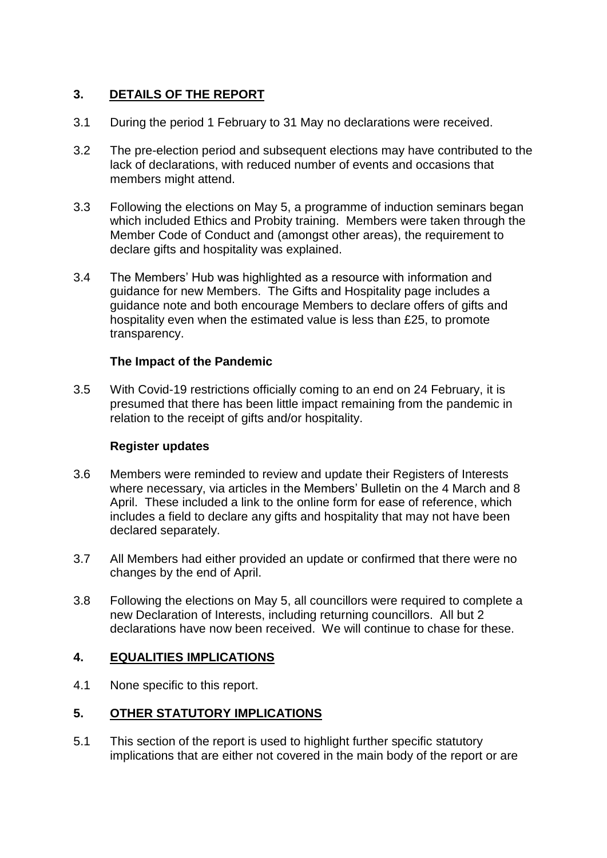# **3. DETAILS OF THE REPORT**

- 3.1 During the period 1 February to 31 May no declarations were received.
- 3.2 The pre-election period and subsequent elections may have contributed to the lack of declarations, with reduced number of events and occasions that members might attend.
- 3.3 Following the elections on May 5, a programme of induction seminars began which included Ethics and Probity training. Members were taken through the Member Code of Conduct and (amongst other areas), the requirement to declare gifts and hospitality was explained.
- 3.4 The Members' Hub was highlighted as a resource with information and guidance for new Members. The Gifts and Hospitality page includes a guidance note and both encourage Members to declare offers of gifts and hospitality even when the estimated value is less than £25, to promote transparency.

## **The Impact of the Pandemic**

3.5 With Covid-19 restrictions officially coming to an end on 24 February, it is presumed that there has been little impact remaining from the pandemic in relation to the receipt of gifts and/or hospitality.

#### **Register updates**

- 3.6 Members were reminded to review and update their Registers of Interests where necessary, via articles in the Members' Bulletin on the 4 March and 8 April. These included a link to the online form for ease of reference, which includes a field to declare any gifts and hospitality that may not have been declared separately.
- 3.7 All Members had either provided an update or confirmed that there were no changes by the end of April.
- 3.8 Following the elections on May 5, all councillors were required to complete a new Declaration of Interests, including returning councillors. All but 2 declarations have now been received. We will continue to chase for these.

#### **4. EQUALITIES IMPLICATIONS**

4.1 None specific to this report.

# **5. OTHER STATUTORY IMPLICATIONS**

5.1 This section of the report is used to highlight further specific statutory implications that are either not covered in the main body of the report or are